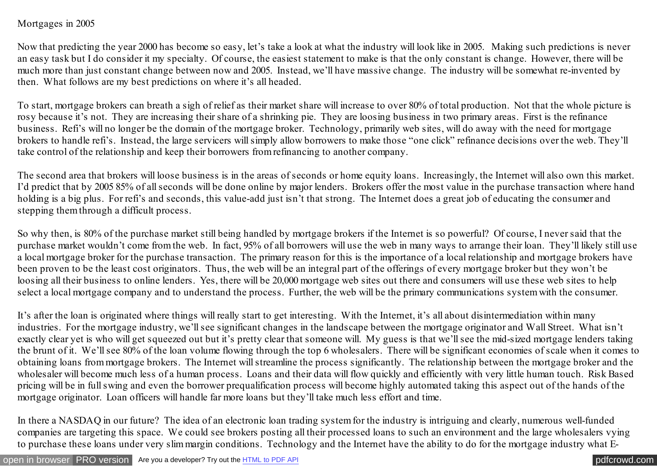## Mortgages in 2005

Now that predicting the year 2000 has become so easy, let's take a look at what the industry will look like in 2005. Making such predictions is never an easy task but I do consider it my specialty. Of course, the easiest statement to make is that the only constant is change. However, there will be much more than just constant change between now and 2005. Instead, we'll have massive change. The industry will be somewhat re-invented by then. What follows are my best predictions on where it's all headed.

To start, mortgage brokers can breath a sigh of relief as their market share will increase to over 80% of total production. Not that the whole picture is rosy because it's not. They are increasing their share of a shrinking pie. They are loosing business in two primary areas. First is the refinance business. Refi's will no longer be the domain of the mortgage broker. Technology, primarily web sites, will do away with the need for mortgage brokers to handle refi's. Instead, the large servicers will simply allow borrowers to make those "one click" refinance decisions over the web. They'll take control of the relationship and keep their borrowers from refinancing to another company.

The second area that brokers will loose business is in the areas of seconds or home equity loans. Increasingly, the Internet will also own this market. I'd predict that by 2005 85% of all seconds will be done online by major lenders. Brokers offer the most value in the purchase transaction where hand holding is a big plus. For refi's and seconds, this value-add just isn't that strong. The Internet does a great job of educating the consumer and stepping them through a difficult process.

So why then, is 80% of the purchase market still being handled by mortgage brokers if the Internet is so powerful? Of course, I never said that the purchase market wouldn't come from the web. In fact, 95% of all borrowers will use the web in many ways to arrange their loan. They'll likely still use a local mortgage broker for the purchase transaction. The primary reason for this is the importance of a local relationship and mortgage brokers have been proven to be the least cost originators. Thus, the web will be an integral part of the offerings of every mortgage broker but they won't be loosing all their business to online lenders. Yes, there will be 20,000 mortgage web sites out there and consumers will use these web sites to help select a local mortgage company and to understand the process. Further, the web will be the primary communications system with the consumer.

It's after the loan is originated where things will really start to get interesting. With the Internet, it's all about disintermediation within many industries. For the mortgage industry, we'll see significant changes in the landscape between the mortgage originator and Wall Street. What isn't exactly clear yet is who will get squeezed out but it's pretty clear that someone will. My guess is that we'll see the mid-sized mortgage lenders taking the brunt of it. We'll see 80% of the loan volume flowing through the top 6 wholesalers. There will be significant economies of scale when it comes to obtaining loans from mortgage brokers. The Internet will streamline the process significantly. The relationship between the mortgage broker and the wholesaler will become much less of a human process. Loans and their data will flow quickly and efficiently with very little human touch. Risk Based pricing will be in full swing and even the borrower prequalification process will become highly automated taking this aspect out of the hands of the mortgage originator. Loan officers will handle far more loans but they'll take much less effort and time.

In there a NASDAQ in our future? The idea of an electronic loan trading system for the industry is intriguing and clearly, numerous well-funded companies are targeting this space. We could see brokers posting all their processed loans to such an environment and the large wholesalers vying to purchase these loans under very slim margin conditions. Technology and the Internet have the ability to do for the mortgage industry what E-